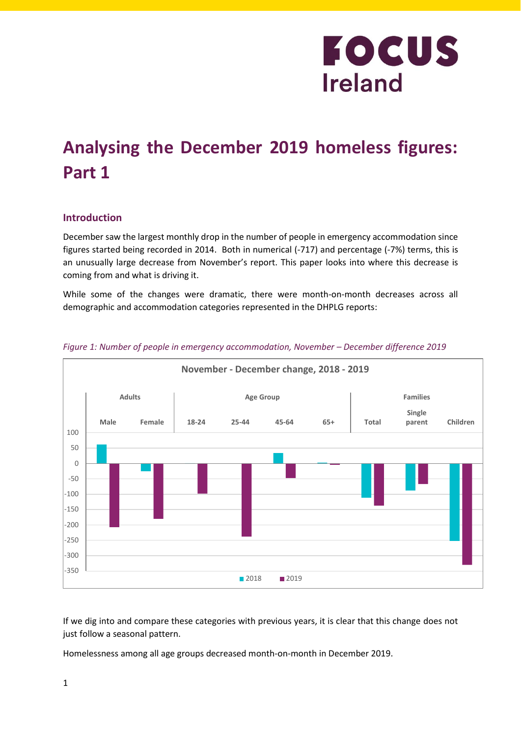### **Analysing the December 2019 homeless figures: Part 1**

### **Introduction**

December saw the largest monthly drop in the number of people in emergency accommodation since figures started being recorded in 2014. Both in numerical (-717) and percentage (-7%) terms, this is an unusually large decrease from November's report. This paper looks into where this decrease is coming from and what is driving it.

While some of the changes were dramatic, there were month-on-month decreases across all demographic and accommodation categories represented in the DHPLG reports:



*Figure 1: Number of people in emergency accommodation, November – December difference 2019*

If we dig into and compare these categories with previous years, it is clear that this change does not just follow a seasonal pattern.

Homelessness among all age groups decreased month-on-month in December 2019.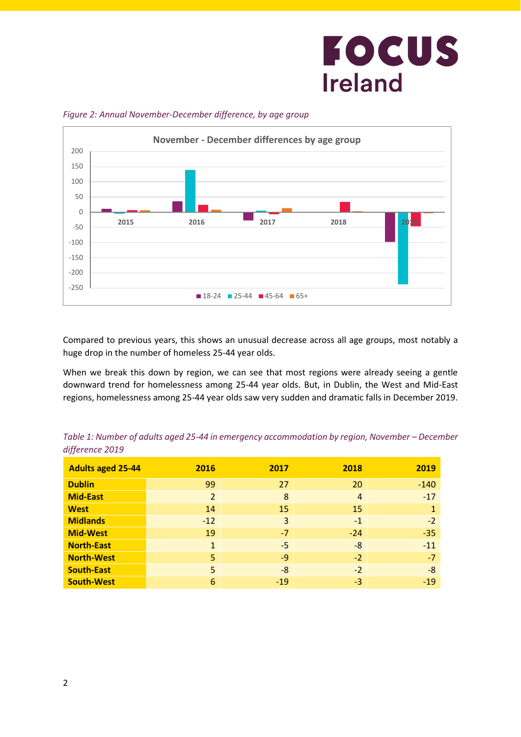

#### *Figure 2: Annual November-December difference, by age group*

Compared to previous years, this shows an unusual decrease across all age groups, most notably a huge drop in the number of homeless 25-44 year olds.

When we break this down by region, we can see that most regions were already seeing a gentle downward trend for homelessness among 25-44 year olds. But, in Dublin, the West and Mid-East regions, homelessness among 25-44 year olds saw very sudden and dramatic falls in December 2019.

| <b>Adults aged 25-44</b> | 2016           | 2017  | 2018           | 2019   |
|--------------------------|----------------|-------|----------------|--------|
| <b>Dublin</b>            | 99             | 27    | 20             | $-140$ |
| <b>Mid-East</b>          | $\overline{2}$ | 8     | $\overline{4}$ | $-17$  |
| <b>West</b>              | 14             | 15    | 15             |        |
| <b>Midlands</b>          | $-12$          | 3     | $-1$           | $-2$   |
| <b>Mid-West</b>          | 19             | $-7$  | $-24$          | $-35$  |
| <b>North-East</b>        | $\mathbf{1}$   | $-5$  | $-8$           | $-11$  |
| <b>North-West</b>        | 5              | $-9$  | $-2$           | $-7$   |
| <b>South-East</b>        | 5              | -8    | $-2$           | $-8$   |
| <b>South-West</b>        | 6              | $-19$ | $-3$           | $-19$  |

*Table 1: Number of adults aged 25-44 in emergency accommodation by region, November – December difference 2019*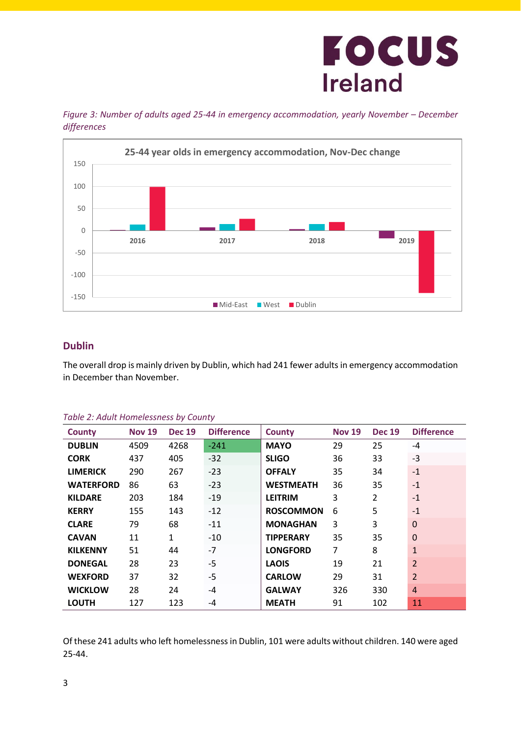



### **Dublin**

The overall drop is mainly driven by Dublin, which had 241 fewer adults in emergency accommodation in December than November.

| <b>County</b>    | <b>Nov 19</b> | <b>Dec 19</b> | <b>Difference</b> | <b>County</b>    | <b>Nov 19</b>  | <b>Dec 19</b>  | <b>Difference</b> |
|------------------|---------------|---------------|-------------------|------------------|----------------|----------------|-------------------|
| <b>DUBLIN</b>    | 4509          | 4268          | $-241$            | <b>MAYO</b>      | 29             | 25             | $-4$              |
| <b>CORK</b>      | 437           | 405           | $-32$             | <b>SLIGO</b>     | 36             | 33             | $-3$              |
| <b>LIMERICK</b>  | 290           | 267           | $-23$             | <b>OFFALY</b>    | 35             | 34             | $-1$              |
| <b>WATERFORD</b> | 86            | 63            | $-23$             | <b>WESTMEATH</b> | 36             | 35             | $-1$              |
| <b>KILDARE</b>   | 203           | 184           | $-19$             | <b>LEITRIM</b>   | 3              | $\overline{2}$ | $-1$              |
| <b>KERRY</b>     | 155           | 143           | $-12$             | <b>ROSCOMMON</b> | 6              | 5              | $-1$              |
| <b>CLARE</b>     | 79            | 68            | $-11$             | <b>MONAGHAN</b>  | 3              | 3              | $\overline{0}$    |
| <b>CAVAN</b>     | 11            | $\mathbf{1}$  | $-10$             | <b>TIPPERARY</b> | 35             | 35             | $\mathbf 0$       |
| <b>KILKENNY</b>  | 51            | 44            | $-7$              | <b>LONGFORD</b>  | $\overline{7}$ | 8              | $\mathbf{1}$      |
| <b>DONEGAL</b>   | 28            | 23            | $-5$              | <b>LAOIS</b>     | 19             | 21             | $\overline{2}$    |
| <b>WEXFORD</b>   | 37            | 32            | $-5$              | <b>CARLOW</b>    | 29             | 31             | $\overline{2}$    |
| <b>WICKLOW</b>   | 28            | 24            | $-4$              | <b>GALWAY</b>    | 326            | 330            | 4                 |
| <b>LOUTH</b>     | 127           | 123           | $-4$              | <b>MEATH</b>     | 91             | 102            | 11                |

#### *Table 2: Adult Homelessness by County*

Of these 241 adults who left homelessness in Dublin, 101 were adults without children. 140 were aged 25-44.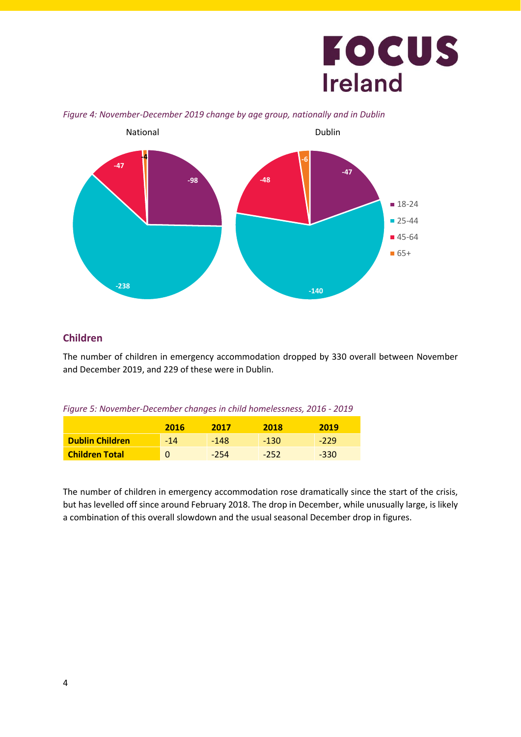

#### *Figure 4: November-December 2019 change by age group, nationally and in Dublin*

#### **Children**

The number of children in emergency accommodation dropped by 330 overall between November and December 2019, and 229 of these were in Dublin.

|  |  |  |  |  | Figure 5: November-December changes in child homelessness, 2016 - 2019 |  |  |
|--|--|--|--|--|------------------------------------------------------------------------|--|--|
|--|--|--|--|--|------------------------------------------------------------------------|--|--|

|                        | 2016  | 2017   | 2018   | 2019   |
|------------------------|-------|--------|--------|--------|
| <b>Dublin Children</b> | $-14$ | $-148$ | $-130$ | $-229$ |
| <b>Children Total</b>  |       | $-254$ | $-252$ | $-330$ |

The number of children in emergency accommodation rose dramatically since the start of the crisis, but has levelled off since around February 2018. The drop in December, while unusually large, is likely a combination of this overall slowdown and the usual seasonal December drop in figures.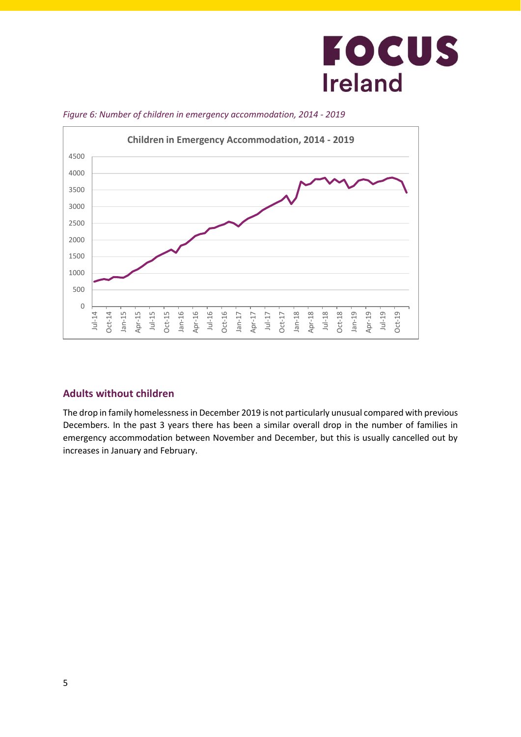

*Figure 6: Number of children in emergency accommodation, 2014 - 2019*

### **Adults without children**

The drop in family homelessness in December 2019 is not particularly unusual compared with previous Decembers. In the past 3 years there has been a similar overall drop in the number of families in emergency accommodation between November and December, but this is usually cancelled out by increases in January and February.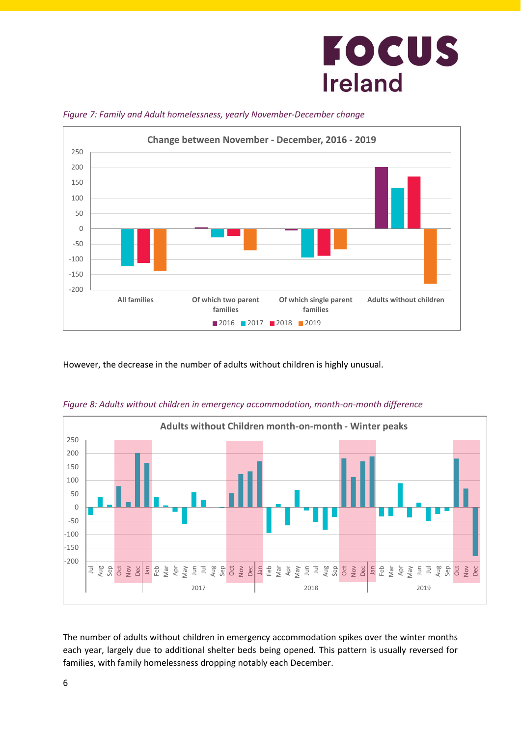

*Figure 7: Family and Adult homelessness, yearly November-December change*

However, the decrease in the number of adults without children is highly unusual.



*Figure 8: Adults without children in emergency accommodation, month-on-month difference*

The number of adults without children in emergency accommodation spikes over the winter months each year, largely due to additional shelter beds being opened. This pattern is usually reversed for families, with family homelessness dropping notably each December.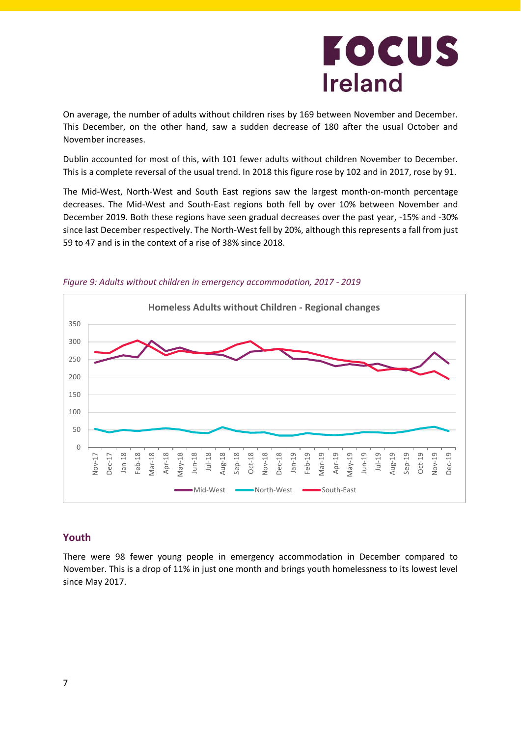On average, the number of adults without children rises by 169 between November and December. This December, on the other hand, saw a sudden decrease of 180 after the usual October and November increases.

Dublin accounted for most of this, with 101 fewer adults without children November to December. This is a complete reversal of the usual trend. In 2018 this figure rose by 102 and in 2017, rose by 91.

The Mid-West, North-West and South East regions saw the largest month-on-month percentage decreases. The Mid-West and South-East regions both fell by over 10% between November and December 2019. Both these regions have seen gradual decreases over the past year, -15% and -30% since last December respectively. The North-West fell by 20%, although this represents a fall from just 59 to 47 and is in the context of a rise of 38% since 2018.





#### **Youth**

There were 98 fewer young people in emergency accommodation in December compared to November. This is a drop of 11% in just one month and brings youth homelessness to its lowest level since May 2017.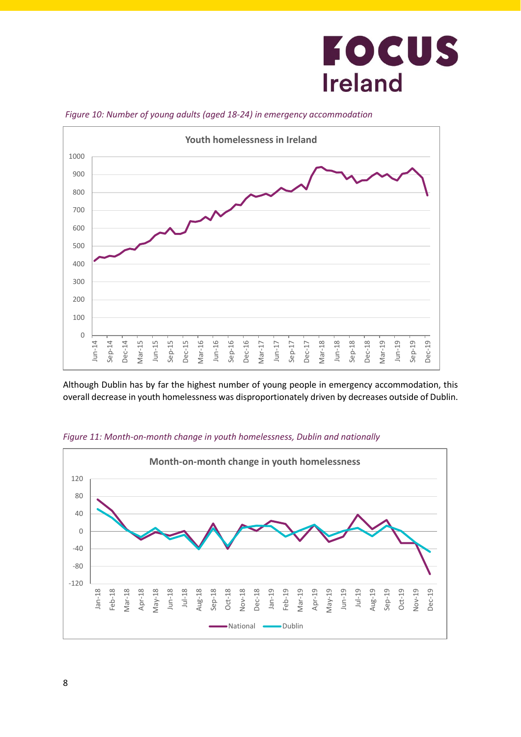

*Figure 10: Number of young adults (aged 18-24) in emergency accommodation*

Although Dublin has by far the highest number of young people in emergency accommodation, this overall decrease in youth homelessness was disproportionately driven by decreases outside of Dublin.



*Figure 11: Month-on-month change in youth homelessness, Dublin and nationally*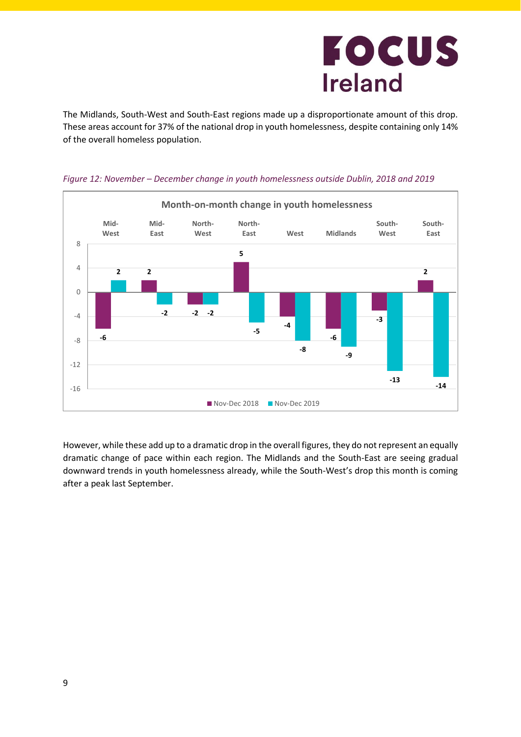The Midlands, South-West and South-East regions made up a disproportionate amount of this drop. These areas account for 37% of the national drop in youth homelessness, despite containing only 14% of the overall homeless population.



*Figure 12: November – December change in youth homelessness outside Dublin, 2018 and 2019*

However, while these add up to a dramatic drop in the overall figures, they do not represent an equally dramatic change of pace within each region. The Midlands and the South-East are seeing gradual downward trends in youth homelessness already, while the South-West's drop this month is coming after a peak last September.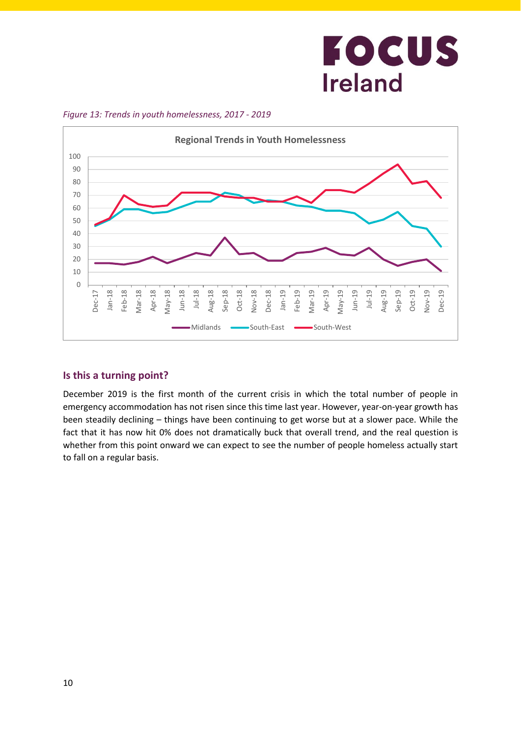

*Figure 13: Trends in youth homelessness, 2017 - 2019*

### **Is this a turning point?**

December 2019 is the first month of the current crisis in which the total number of people in emergency accommodation has not risen since this time last year. However, year-on-year growth has been steadily declining – things have been continuing to get worse but at a slower pace. While the fact that it has now hit 0% does not dramatically buck that overall trend, and the real question is whether from this point onward we can expect to see the number of people homeless actually start to fall on a regular basis.